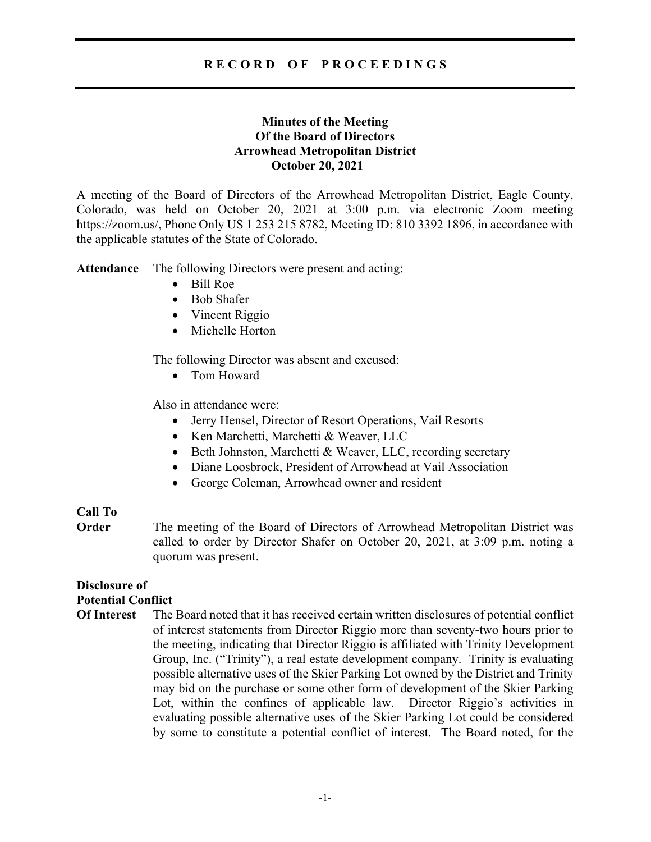# RECORD OF PROCEEDINGS

## Minutes of the Meeting Of the Board of Directors Arrowhead Metropolitan District October 20, 2021

A meeting of the Board of Directors of the Arrowhead Metropolitan District, Eagle County, Colorado, was held on October 20, 2021 at 3:00 p.m. via electronic Zoom meeting https://zoom.us/, Phone Only US 1 253 215 8782, Meeting ID: 810 3392 1896, in accordance with the applicable statutes of the State of Colorado.

Attendance The following Directors were present and acting:

- Bill Roe
- Bob Shafer
- Vincent Riggio
- Michelle Horton

The following Director was absent and excused:

• Tom Howard

Also in attendance were:

- Jerry Hensel, Director of Resort Operations, Vail Resorts
- Ken Marchetti, Marchetti & Weaver, LLC
- Beth Johnston, Marchetti & Weaver, LLC, recording secretary
- Diane Loosbrock, President of Arrowhead at Vail Association
- George Coleman, Arrowhead owner and resident

### Call To

**Order** The meeting of the Board of Directors of Arrowhead Metropolitan District was called to order by Director Shafer on October 20, 2021, at 3:09 p.m. noting a quorum was present.

# Disclosure of Potential Conflict

Of Interest The Board noted that it has received certain written disclosures of potential conflict of interest statements from Director Riggio more than seventy-two hours prior to the meeting, indicating that Director Riggio is affiliated with Trinity Development Group, Inc. ("Trinity"), a real estate development company. Trinity is evaluating possible alternative uses of the Skier Parking Lot owned by the District and Trinity may bid on the purchase or some other form of development of the Skier Parking Lot, within the confines of applicable law. Director Riggio's activities in evaluating possible alternative uses of the Skier Parking Lot could be considered by some to constitute a potential conflict of interest. The Board noted, for the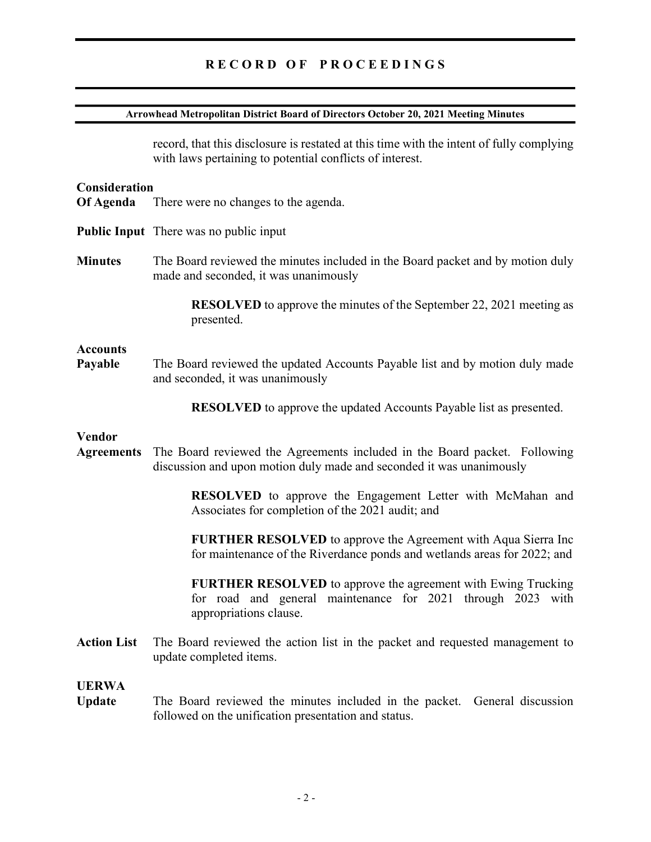# RECORD OF PROCEEDINGS

#### Arrowhead Metropolitan District Board of Directors October 20, 2021 Meeting Minutes

record, that this disclosure is restated at this time with the intent of fully complying with laws pertaining to potential conflicts of interest.

#### **Consideration**

- Of Agenda There were no changes to the agenda.
- Public Input There was no public input
- Minutes The Board reviewed the minutes included in the Board packet and by motion duly made and seconded, it was unanimously

 RESOLVED to approve the minutes of the September 22, 2021 meeting as presented.

#### **Accounts**

Payable The Board reviewed the updated Accounts Payable list and by motion duly made and seconded, it was unanimously

RESOLVED to approve the updated Accounts Payable list as presented.

#### Vendor

Agreements The Board reviewed the Agreements included in the Board packet. Following discussion and upon motion duly made and seconded it was unanimously

> RESOLVED to approve the Engagement Letter with McMahan and Associates for completion of the 2021 audit; and

> FURTHER RESOLVED to approve the Agreement with Aqua Sierra Inc for maintenance of the Riverdance ponds and wetlands areas for 2022; and

> FURTHER RESOLVED to approve the agreement with Ewing Trucking for road and general maintenance for 2021 through 2023 with appropriations clause.

Action List The Board reviewed the action list in the packet and requested management to update completed items.

# UERWA

Update The Board reviewed the minutes included in the packet. General discussion followed on the unification presentation and status.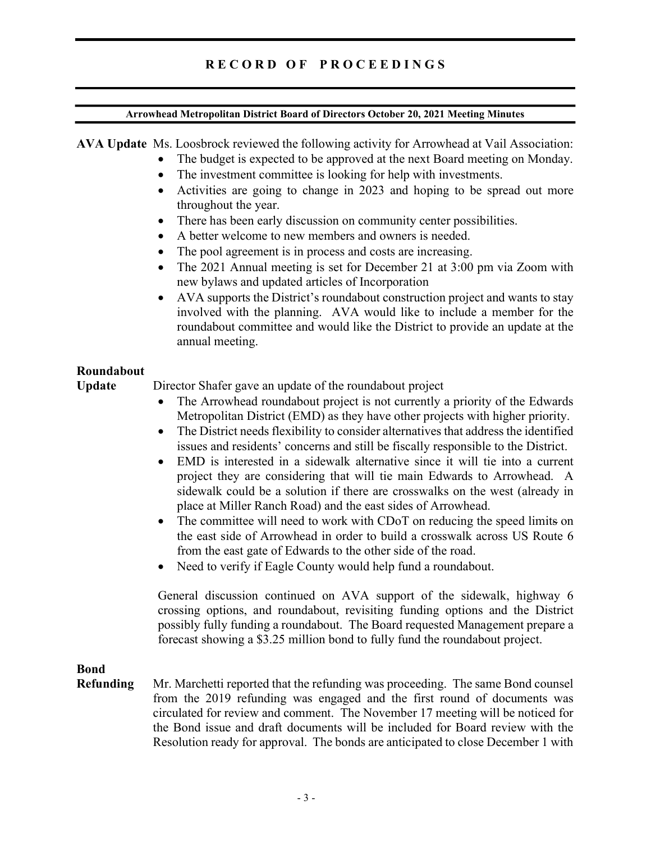# R E C O R D O F P R O C E E D I N G S

#### Arrowhead Metropolitan District Board of Directors October 20, 2021 Meeting Minutes

AVA Update Ms. Loosbrock reviewed the following activity for Arrowhead at Vail Association:

- The budget is expected to be approved at the next Board meeting on Monday.
- The investment committee is looking for help with investments.
- Activities are going to change in 2023 and hoping to be spread out more throughout the year.
- There has been early discussion on community center possibilities.
- A better welcome to new members and owners is needed.
- The pool agreement is in process and costs are increasing.
- The 2021 Annual meeting is set for December 21 at 3:00 pm via Zoom with new bylaws and updated articles of Incorporation
- AVA supports the District's roundabout construction project and wants to stay involved with the planning. AVA would like to include a member for the roundabout committee and would like the District to provide an update at the annual meeting.

### Roundabout

Update Director Shafer gave an update of the roundabout project

- The Arrowhead roundabout project is not currently a priority of the Edwards Metropolitan District (EMD) as they have other projects with higher priority.
- The District needs flexibility to consider alternatives that address the identified issues and residents' concerns and still be fiscally responsible to the District.
- EMD is interested in a sidewalk alternative since it will tie into a current project they are considering that will tie main Edwards to Arrowhead. A sidewalk could be a solution if there are crosswalks on the west (already in place at Miller Ranch Road) and the east sides of Arrowhead.
- The committee will need to work with CDoT on reducing the speed limits on the east side of Arrowhead in order to build a crosswalk across US Route 6 from the east gate of Edwards to the other side of the road.
- Need to verify if Eagle County would help fund a roundabout.

General discussion continued on AVA support of the sidewalk, highway 6 crossing options, and roundabout, revisiting funding options and the District possibly fully funding a roundabout. The Board requested Management prepare a forecast showing a \$3.25 million bond to fully fund the roundabout project.

# Bond

Refunding Mr. Marchetti reported that the refunding was proceeding. The same Bond counsel from the 2019 refunding was engaged and the first round of documents was circulated for review and comment. The November 17 meeting will be noticed for the Bond issue and draft documents will be included for Board review with the Resolution ready for approval. The bonds are anticipated to close December 1 with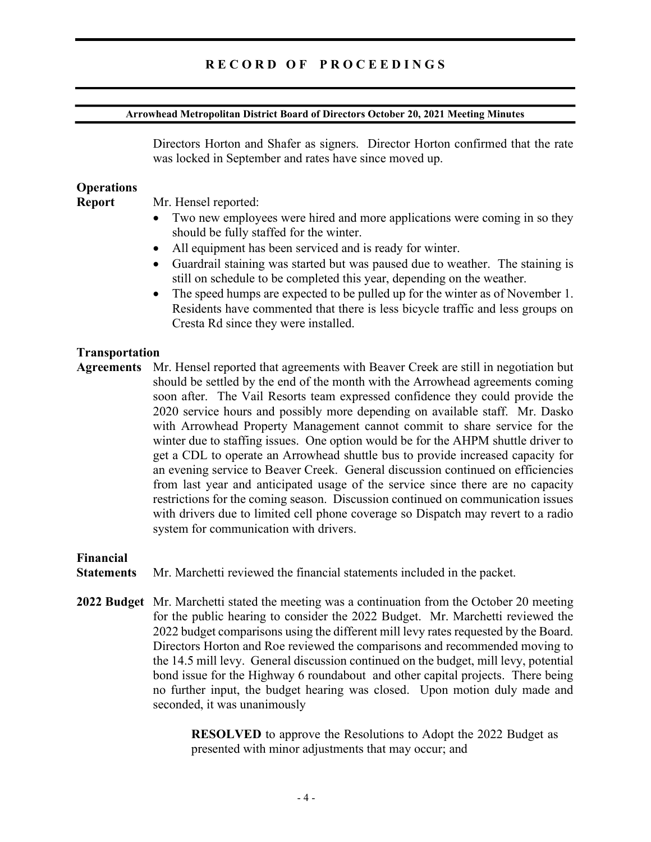# R E C O R D O F P R O C E E D I N G S

#### Arrowhead Metropolitan District Board of Directors October 20, 2021 Meeting Minutes

Directors Horton and Shafer as signers. Director Horton confirmed that the rate was locked in September and rates have since moved up.

### **Operations**

Report Mr. Hensel reported:

- Two new employees were hired and more applications were coming in so they should be fully staffed for the winter.
- All equipment has been serviced and is ready for winter.
- Guardrail staining was started but was paused due to weather. The staining is still on schedule to be completed this year, depending on the weather.
- The speed humps are expected to be pulled up for the winter as of November 1. Residents have commented that there is less bicycle traffic and less groups on Cresta Rd since they were installed.

#### Transportation

Agreements Mr. Hensel reported that agreements with Beaver Creek are still in negotiation but should be settled by the end of the month with the Arrowhead agreements coming soon after. The Vail Resorts team expressed confidence they could provide the 2020 service hours and possibly more depending on available staff. Mr. Dasko with Arrowhead Property Management cannot commit to share service for the winter due to staffing issues. One option would be for the AHPM shuttle driver to get a CDL to operate an Arrowhead shuttle bus to provide increased capacity for an evening service to Beaver Creek. General discussion continued on efficiencies from last year and anticipated usage of the service since there are no capacity restrictions for the coming season. Discussion continued on communication issues with drivers due to limited cell phone coverage so Dispatch may revert to a radio system for communication with drivers.

#### Financial

Statements Mr. Marchetti reviewed the financial statements included in the packet.

2022 Budget Mr. Marchetti stated the meeting was a continuation from the October 20 meeting for the public hearing to consider the 2022 Budget. Mr. Marchetti reviewed the 2022 budget comparisons using the different mill levy rates requested by the Board. Directors Horton and Roe reviewed the comparisons and recommended moving to the 14.5 mill levy. General discussion continued on the budget, mill levy, potential bond issue for the Highway 6 roundabout and other capital projects. There being no further input, the budget hearing was closed. Upon motion duly made and seconded, it was unanimously

> RESOLVED to approve the Resolutions to Adopt the 2022 Budget as presented with minor adjustments that may occur; and